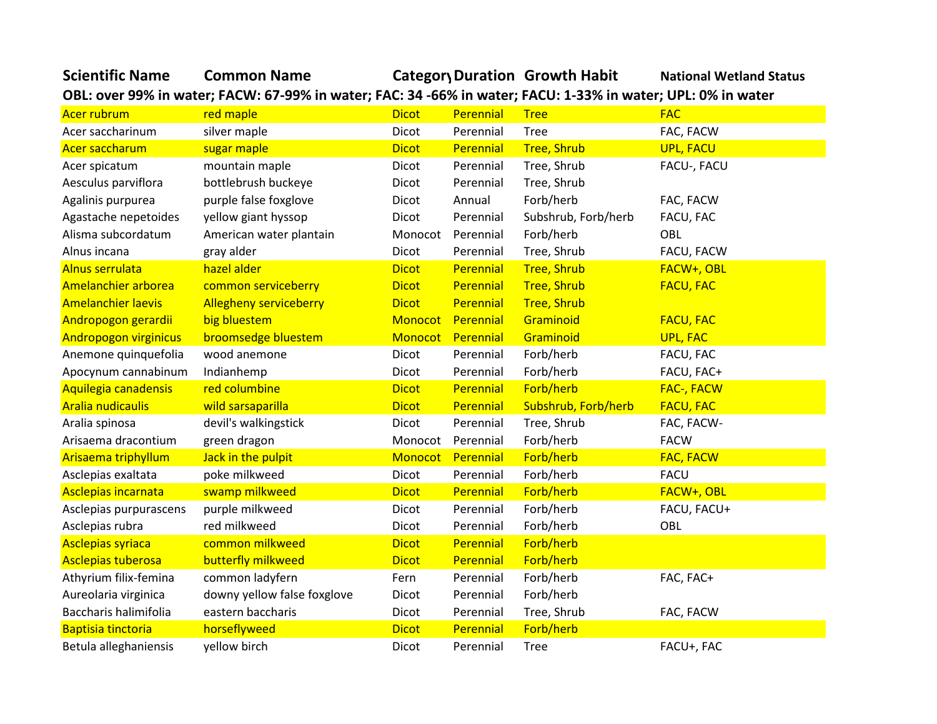## **Scientific Name Common Name Category Duration Growth Habit National Wetland Status**

**OBL: over 99% in water; FACW: 67-99% in water; FAC: 34 -66% in water; FACU: 1-33% in water; UPL: 0% in water**

| Acer rubrum                  | red maple                     | <b>Dicot</b> | Perennial         | <b>Tree</b>         | <b>FAC</b>       |
|------------------------------|-------------------------------|--------------|-------------------|---------------------|------------------|
| Acer saccharinum             | silver maple                  | Dicot        | Perennial         | <b>Tree</b>         | FAC, FACW        |
| Acer saccharum               | sugar maple                   | <b>Dicot</b> | Perennial         | <b>Tree, Shrub</b>  | <b>UPL, FACU</b> |
| Acer spicatum                | mountain maple                | Dicot        | Perennial         | Tree, Shrub         | FACU-, FACU      |
| Aesculus parviflora          | bottlebrush buckeye           | Dicot        | Perennial         | Tree, Shrub         |                  |
| Agalinis purpurea            | purple false foxglove         | Dicot        | Annual            | Forb/herb           | FAC, FACW        |
| Agastache nepetoides         | yellow giant hyssop           | Dicot        | Perennial         | Subshrub, Forb/herb | FACU, FAC        |
| Alisma subcordatum           | American water plantain       | Monocot      | Perennial         | Forb/herb           | OBL              |
| Alnus incana                 | gray alder                    | Dicot        | Perennial         | Tree, Shrub         | FACU, FACW       |
| <b>Alnus serrulata</b>       | hazel alder                   | <b>Dicot</b> | Perennial         | <b>Tree, Shrub</b>  | FACW+, OBL       |
| Amelanchier arborea          | common serviceberry           | <b>Dicot</b> | Perennial         | <b>Tree, Shrub</b>  | <b>FACU, FAC</b> |
| <b>Amelanchier laevis</b>    | <b>Allegheny serviceberry</b> | <b>Dicot</b> | Perennial         | <b>Tree, Shrub</b>  |                  |
| Andropogon gerardii          | big bluestem                  | Monocot      | Perennial         | Graminoid           | <b>FACU, FAC</b> |
| <b>Andropogon virginicus</b> | broomsedge bluestem           |              | Monocot Perennial | Graminoid           | <b>UPL, FAC</b>  |
| Anemone quinquefolia         | wood anemone                  | Dicot        | Perennial         | Forb/herb           | FACU, FAC        |
| Apocynum cannabinum          | Indianhemp                    | Dicot        | Perennial         | Forb/herb           | FACU, FAC+       |
| Aquilegia canadensis         | red columbine                 | <b>Dicot</b> | Perennial         | Forb/herb           | FAC-, FACW       |
| <b>Aralia nudicaulis</b>     | wild sarsaparilla             | <b>Dicot</b> | Perennial         | Subshrub, Forb/herb | <b>FACU, FAC</b> |
| Aralia spinosa               | devil's walkingstick          | Dicot        | Perennial         | Tree, Shrub         | FAC, FACW-       |
| Arisaema dracontium          | green dragon                  | Monocot      | Perennial         | Forb/herb           | <b>FACW</b>      |
| Arisaema triphyllum          | Jack in the pulpit            | Monocot      | Perennial         | Forb/herb           | <b>FAC, FACW</b> |
| Asclepias exaltata           | poke milkweed                 | Dicot        | Perennial         | Forb/herb           | <b>FACU</b>      |
| Asclepias incarnata          | swamp milkweed                | <b>Dicot</b> | Perennial         | Forb/herb           | FACW+, OBL       |
| Asclepias purpurascens       | purple milkweed               | Dicot        | Perennial         | Forb/herb           | FACU, FACU+      |
| Asclepias rubra              | red milkweed                  | Dicot        | Perennial         | Forb/herb           | OBL              |
| <b>Asclepias syriaca</b>     | common milkweed               | <b>Dicot</b> | Perennial         | Forb/herb           |                  |
| <b>Asclepias tuberosa</b>    | butterfly milkweed            | <b>Dicot</b> | Perennial         | Forb/herb           |                  |
| Athyrium filix-femina        | common ladyfern               | Fern         | Perennial         | Forb/herb           | FAC, FAC+        |
| Aureolaria virginica         | downy yellow false foxglove   | Dicot        | Perennial         | Forb/herb           |                  |
| Baccharis halimifolia        | eastern baccharis             | Dicot        | Perennial         | Tree, Shrub         | FAC, FACW        |
| <b>Baptisia tinctoria</b>    | horseflyweed                  | <b>Dicot</b> | Perennial         | Forb/herb           |                  |
| Betula alleghaniensis        | yellow birch                  | Dicot        | Perennial         | <b>Tree</b>         | FACU+, FAC       |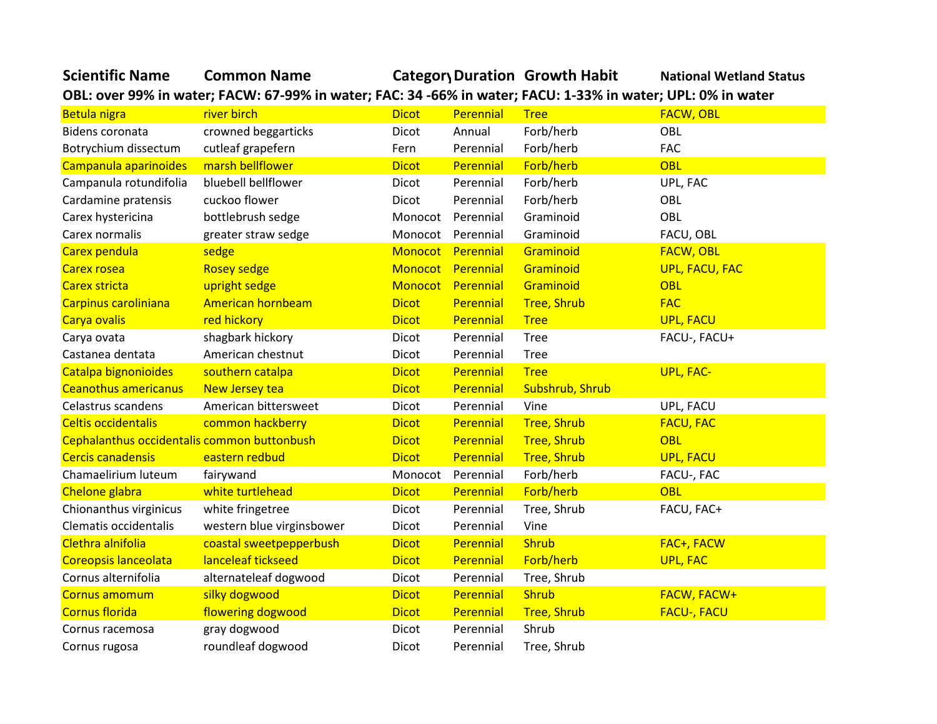| <b>Scientific Name</b> | <b>Common Name</b> | <b>Category Duration Growth Habit</b>                                                                        | <b>National Wetland Status</b> |
|------------------------|--------------------|--------------------------------------------------------------------------------------------------------------|--------------------------------|
|                        |                    | OBL: over 99% in water; FACW: 67-99% in water; FAC: 34 -66% in water; FACU: 1-33% in water; UPL: 0% in water |                                |

| Betula nigra                                | river birch               | <b>Dicot</b>      | Perennial | <b>Tree</b>        | <b>FACW, OBL</b>      |
|---------------------------------------------|---------------------------|-------------------|-----------|--------------------|-----------------------|
| Bidens coronata                             | crowned beggarticks       | Dicot             | Annual    | Forb/herb          | OBL                   |
| Botrychium dissectum                        | cutleaf grapefern         | Fern              | Perennial | Forb/herb          | <b>FAC</b>            |
| Campanula aparinoides                       | marsh bellflower          | <b>Dicot</b>      | Perennial | Forb/herb          | <b>OBL</b>            |
| Campanula rotundifolia                      | bluebell bellflower       | Dicot             | Perennial | Forb/herb          | UPL, FAC              |
| Cardamine pratensis                         | cuckoo flower             | Dicot             | Perennial | Forb/herb          | OBL                   |
| Carex hystericina                           | bottlebrush sedge         | Monocot Perennial |           | Graminoid          | OBL                   |
| Carex normalis                              | greater straw sedge       | Monocot Perennial |           | Graminoid          | FACU, OBL             |
| Carex pendula                               | sedge                     | Monocot Perennial |           | Graminoid          | <b>FACW, OBL</b>      |
| <b>Carex rosea</b>                          | <b>Rosey sedge</b>        | Monocot Perennial |           | Graminoid          | <b>UPL, FACU, FAC</b> |
| <b>Carex stricta</b>                        | upright sedge             | Monocot Perennial |           | Graminoid          | <b>OBL</b>            |
| Carpinus caroliniana                        | American hornbeam         | <b>Dicot</b>      | Perennial | <b>Tree, Shrub</b> | <b>FAC</b>            |
| Carya ovalis                                | red hickory               | <b>Dicot</b>      | Perennial | <b>Tree</b>        | <b>UPL, FACU</b>      |
| Carya ovata                                 | shagbark hickory          | Dicot             | Perennial | <b>Tree</b>        | FACU-, FACU+          |
| Castanea dentata                            | American chestnut         | Dicot             | Perennial | <b>Tree</b>        |                       |
| Catalpa bignonioides                        | southern catalpa          | <b>Dicot</b>      | Perennial | <b>Tree</b>        | <b>UPL, FAC-</b>      |
| <b>Ceanothus americanus</b>                 | New Jersey tea            | <b>Dicot</b>      | Perennial | Subshrub, Shrub    |                       |
| Celastrus scandens                          | American bittersweet      | Dicot             | Perennial | Vine               | UPL, FACU             |
| <b>Celtis occidentalis</b>                  | common hackberry          | <b>Dicot</b>      | Perennial | <b>Tree, Shrub</b> | <b>FACU, FAC</b>      |
| Cephalanthus occidentalis common buttonbush |                           | <b>Dicot</b>      | Perennial | <b>Tree, Shrub</b> | <b>OBL</b>            |
| <b>Cercis canadensis</b>                    | eastern redbud            | <b>Dicot</b>      | Perennial | <b>Tree, Shrub</b> | <b>UPL, FACU</b>      |
| Chamaelirium luteum                         | fairywand                 | Monocot           | Perennial | Forb/herb          | FACU-, FAC            |
| Chelone glabra                              | white turtlehead          | <b>Dicot</b>      | Perennial | Forb/herb          | <b>OBL</b>            |
| Chionanthus virginicus                      | white fringetree          | Dicot             | Perennial | Tree, Shrub        | FACU, FAC+            |
| Clematis occidentalis                       | western blue virginsbower | Dicot             | Perennial | Vine               |                       |
| Clethra alnifolia                           | coastal sweetpepperbush   | <b>Dicot</b>      | Perennial | <b>Shrub</b>       | FAC+, FACW            |
| Coreopsis lanceolata                        | lanceleaf tickseed        | <b>Dicot</b>      | Perennial | Forb/herb          | <b>UPL, FAC</b>       |
| Cornus alternifolia                         | alternateleaf dogwood     | Dicot             | Perennial | Tree, Shrub        |                       |
| Cornus amomum                               | silky dogwood             | <b>Dicot</b>      | Perennial | <b>Shrub</b>       | <b>FACW, FACW+</b>    |
| <b>Cornus florida</b>                       | flowering dogwood         | <b>Dicot</b>      | Perennial | <b>Tree, Shrub</b> | <b>FACU-, FACU</b>    |
| Cornus racemosa                             | gray dogwood              | Dicot             | Perennial | Shrub              |                       |
| Cornus rugosa                               | roundleaf dogwood         | Dicot             | Perennial | Tree, Shrub        |                       |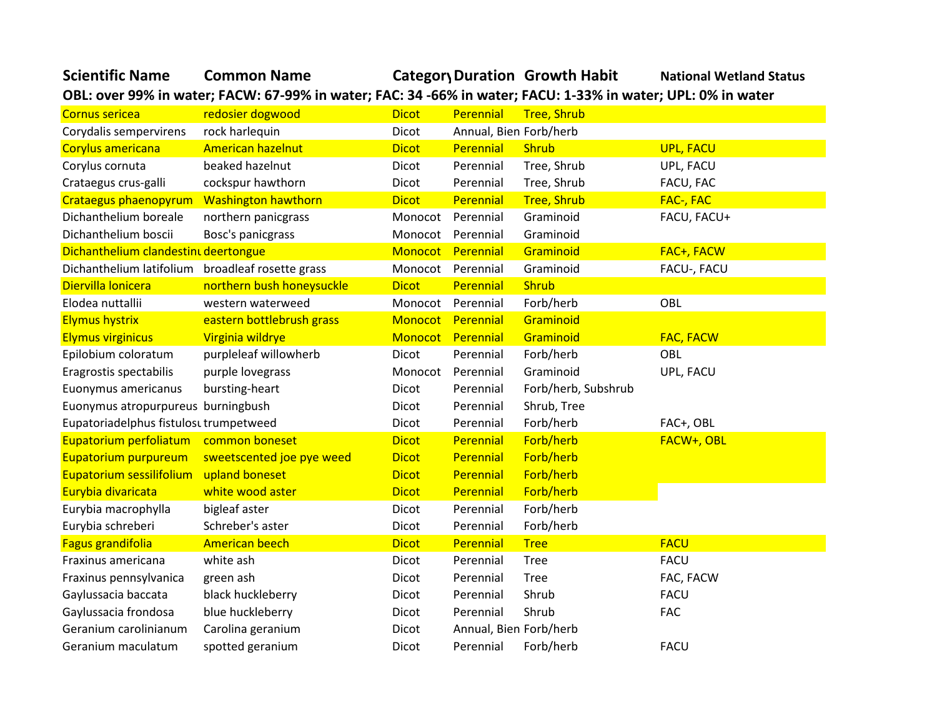| <b>Scientific Name</b>                 | <b>Common Name</b>                                                                                          |              |                        | Category Duration Growth Habit | <b>National Wetland Status</b> |
|----------------------------------------|-------------------------------------------------------------------------------------------------------------|--------------|------------------------|--------------------------------|--------------------------------|
|                                        | OBL: over 99% in water; FACW: 67-99% in water; FAC: 34-66% in water; FACU: 1-33% in water; UPL: 0% in water |              |                        |                                |                                |
| <b>Cornus sericea</b>                  | redosier dogwood                                                                                            | <b>Dicot</b> | <b>Perennial</b>       | <b>Tree, Shrub</b>             |                                |
| Corydalis sempervirens                 | rock harlequin                                                                                              | Dicot        | Annual, Bien Forb/herb |                                |                                |
| Corylus americana                      | American hazelnut                                                                                           | <b>Dicot</b> | Perennial              | <b>Shrub</b>                   | <b>UPL, FACU</b>               |
| Corylus cornuta                        | beaked hazelnut                                                                                             | Dicot        | Perennial              | Tree, Shrub                    | UPL, FACU                      |
| Crataegus crus-galli                   | cockspur hawthorn                                                                                           | <b>Dicot</b> | Perennial              | Tree, Shrub                    | FACU, FAC                      |
| Crataegus phaenopyrum                  | <b>Washington hawthorn</b>                                                                                  | <b>Dicot</b> | Perennial              | <b>Tree, Shrub</b>             | FAC-, FAC                      |
| Dichanthelium boreale                  | northern panicgrass                                                                                         | Monocot      | Perennial              | Graminoid                      | FACU, FACU+                    |
| Dichanthelium boscii                   | Bosc's panicgrass                                                                                           | Monocot      | Perennial              | Graminoid                      |                                |
| Dichanthelium clandestint deertongue   |                                                                                                             | Monocot      | Perennial              | Graminoid                      | FAC+, FACW                     |
| Dichanthelium latifolium               | broadleaf rosette grass                                                                                     | Monocot      | Perennial              | Graminoid                      | FACU-, FACU                    |
| Diervilla lonicera                     | northern bush honeysuckle                                                                                   | <b>Dicot</b> | Perennial              | <b>Shrub</b>                   |                                |
| Elodea nuttallii                       | western waterweed                                                                                           | Monocot      | Perennial              | Forb/herb                      | OBL                            |
| <b>Elymus hystrix</b>                  | eastern bottlebrush grass                                                                                   | Monocot      | Perennial              | Graminoid                      |                                |
| <b>Elymus virginicus</b>               | Virginia wildrye                                                                                            |              | Monocot Perennial      | Graminoid                      | <b>FAC, FACW</b>               |
| Epilobium coloratum                    | purpleleaf willowherb                                                                                       | <b>Dicot</b> | Perennial              | Forb/herb                      | OBL                            |
| Eragrostis spectabilis                 | purple lovegrass                                                                                            | Monocot      | Perennial              | Graminoid                      | UPL, FACU                      |
| Euonymus americanus                    | bursting-heart                                                                                              | <b>Dicot</b> | Perennial              | Forb/herb, Subshrub            |                                |
| Euonymus atropurpureus burningbush     |                                                                                                             | Dicot        | Perennial              | Shrub, Tree                    |                                |
| Eupatoriadelphus fistulosu trumpetweed |                                                                                                             | <b>Dicot</b> | Perennial              | Forb/herb                      | FAC+, OBL                      |
| Eupatorium perfoliatum                 | common boneset                                                                                              | <b>Dicot</b> | Perennial              | Forb/herb                      | FACW+, OBL                     |
| Eupatorium purpureum                   | sweetscented joe pye weed                                                                                   | <b>Dicot</b> | Perennial              | Forb/herb                      |                                |
| Eupatorium sessilifolium               | upland boneset                                                                                              | <b>Dicot</b> | Perennial              | Forb/herb                      |                                |
| Eurybia divaricata                     | white wood aster                                                                                            | <b>Dicot</b> | Perennial              | Forb/herb                      |                                |
| Eurybia macrophylla                    | bigleaf aster                                                                                               | Dicot        | Perennial              | Forb/herb                      |                                |
| Eurybia schreberi                      | Schreber's aster                                                                                            | Dicot        | Perennial              | Forb/herb                      |                                |
| Fagus grandifolia                      | <b>American beech</b>                                                                                       | <b>Dicot</b> | Perennial              | <b>Tree</b>                    | <b>FACU</b>                    |
| Fraxinus americana                     | white ash                                                                                                   | Dicot        | Perennial              | <b>Tree</b>                    | <b>FACU</b>                    |
| Fraxinus pennsylvanica                 | green ash                                                                                                   | Dicot        | Perennial              | <b>Tree</b>                    | FAC, FACW                      |
| Gaylussacia baccata                    | black huckleberry                                                                                           | Dicot        | Perennial              | Shrub                          | <b>FACU</b>                    |
| Gaylussacia frondosa                   | blue huckleberry                                                                                            | Dicot        | Perennial              | Shrub                          | <b>FAC</b>                     |
| Geranium carolinianum                  | Carolina geranium                                                                                           | Dicot        | Annual, Bien Forb/herb |                                |                                |
| Geranium maculatum                     | spotted geranium                                                                                            | Dicot        | Perennial              | Forb/herb                      | <b>FACU</b>                    |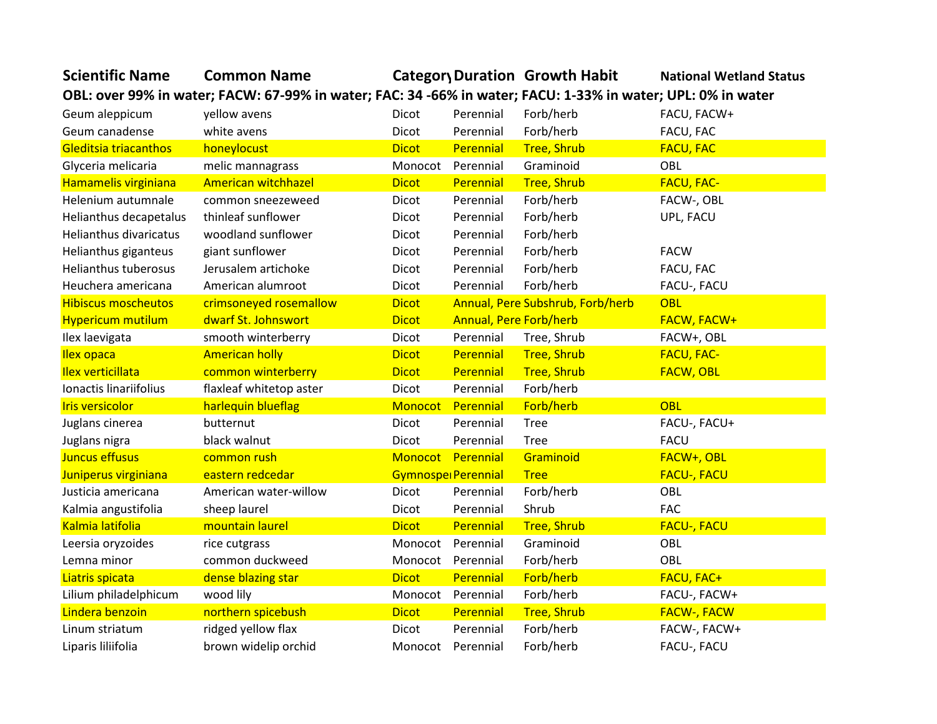| <b>Scientific Name</b>      | <b>Common Name</b>                                                                                          |                     |                               | Category Duration Growth Habit   | <b>National Wetland Status</b> |
|-----------------------------|-------------------------------------------------------------------------------------------------------------|---------------------|-------------------------------|----------------------------------|--------------------------------|
|                             | OBL: over 99% in water; FACW: 67-99% in water; FAC: 34-66% in water; FACU: 1-33% in water; UPL: 0% in water |                     |                               |                                  |                                |
| Geum aleppicum              | yellow avens                                                                                                | Dicot               | Perennial                     | Forb/herb                        | FACU, FACW+                    |
| Geum canadense              | white avens                                                                                                 | Dicot               | Perennial                     | Forb/herb                        | FACU, FAC                      |
| Gleditsia triacanthos       | honeylocust                                                                                                 | <b>Dicot</b>        | Perennial                     | <b>Tree, Shrub</b>               | <b>FACU, FAC</b>               |
| Glyceria melicaria          | melic mannagrass                                                                                            | Monocot             | Perennial                     | Graminoid                        | OBL                            |
| Hamamelis virginiana        | American witchhazel                                                                                         | <b>Dicot</b>        | Perennial                     | <b>Tree, Shrub</b>               | <b>FACU, FAC-</b>              |
| Helenium autumnale          | common sneezeweed                                                                                           | Dicot               | Perennial                     | Forb/herb                        | FACW-, OBL                     |
| Helianthus decapetalus      | thinleaf sunflower                                                                                          | Dicot               | Perennial                     | Forb/herb                        | UPL, FACU                      |
| Helianthus divaricatus      | woodland sunflower                                                                                          | Dicot               | Perennial                     | Forb/herb                        |                                |
| Helianthus giganteus        | giant sunflower                                                                                             | Dicot               | Perennial                     | Forb/herb                        | <b>FACW</b>                    |
| <b>Helianthus tuberosus</b> | Jerusalem artichoke                                                                                         | Dicot               | Perennial                     | Forb/herb                        | FACU, FAC                      |
| Heuchera americana          | American alumroot                                                                                           | Dicot               | Perennial                     | Forb/herb                        | FACU-, FACU                    |
| <b>Hibiscus moscheutos</b>  | crimsoneyed rosemallow                                                                                      | <b>Dicot</b>        |                               | Annual, Pere Subshrub, Forb/herb | OBL                            |
| <b>Hypericum mutilum</b>    | dwarf St. Johnswort                                                                                         | <b>Dicot</b>        | <b>Annual, Pere Forb/herb</b> |                                  | FACW, FACW+                    |
| Ilex laevigata              | smooth winterberry                                                                                          | Dicot               | Perennial                     | Tree, Shrub                      | FACW+, OBL                     |
| <b>Ilex opaca</b>           | <b>American holly</b>                                                                                       | <b>Dicot</b>        | Perennial                     | <b>Tree, Shrub</b>               | <b>FACU, FAC-</b>              |
| <b>Ilex verticillata</b>    | common winterberry                                                                                          | <b>Dicot</b>        | Perennial                     | <b>Tree, Shrub</b>               | <b>FACW, OBL</b>               |
| Ionactis linariifolius      | flaxleaf whitetop aster                                                                                     | Dicot               | Perennial                     | Forb/herb                        |                                |
| <b>Iris versicolor</b>      | harlequin blueflag                                                                                          | Monocot             | Perennial                     | Forb/herb                        | <b>OBL</b>                     |
| Juglans cinerea             | butternut                                                                                                   | Dicot               | Perennial                     | <b>Tree</b>                      | FACU-, FACU+                   |
| Juglans nigra               | black walnut                                                                                                | Dicot               | Perennial                     | <b>Tree</b>                      | <b>FACU</b>                    |
| Juncus effusus              | common rush                                                                                                 | Monocot Perennial   |                               | Graminoid                        | FACW+, OBL                     |
| Juniperus virginiana        | eastern redcedar                                                                                            | Gymnospel Perennial |                               | <b>Tree</b>                      | <b>FACU-, FACU</b>             |
| Justicia americana          | American water-willow                                                                                       | Dicot               | Perennial                     | Forb/herb                        | OBL                            |
| Kalmia angustifolia         | sheep laurel                                                                                                | Dicot               | Perennial                     | Shrub                            | <b>FAC</b>                     |
| Kalmia latifolia            | mountain laurel                                                                                             | <b>Dicot</b>        | Perennial                     | <b>Tree, Shrub</b>               | <b>FACU-, FACU</b>             |
| Leersia oryzoides           | rice cutgrass                                                                                               | Monocot             | Perennial                     | Graminoid                        | OBL                            |
| Lemna minor                 | common duckweed                                                                                             | Monocot             | Perennial                     | Forb/herb                        | OBL                            |
| Liatris spicata             | dense blazing star                                                                                          | <b>Dicot</b>        | Perennial                     | Forb/herb                        | <b>FACU, FAC+</b>              |
| Lilium philadelphicum       | wood lily                                                                                                   | Monocot             | Perennial                     | Forb/herb                        | FACU-, FACW+                   |
| Lindera benzoin             | northern spicebush                                                                                          | <b>Dicot</b>        | Perennial                     | <b>Tree, Shrub</b>               | <b>FACW-, FACW</b>             |
| Linum striatum              | ridged yellow flax                                                                                          | <b>Dicot</b>        | Perennial                     | Forb/herb                        | FACW-, FACW+                   |
| Liparis liliifolia          | brown widelip orchid                                                                                        | Monocot Perennial   |                               | Forb/herb                        | FACU-, FACU                    |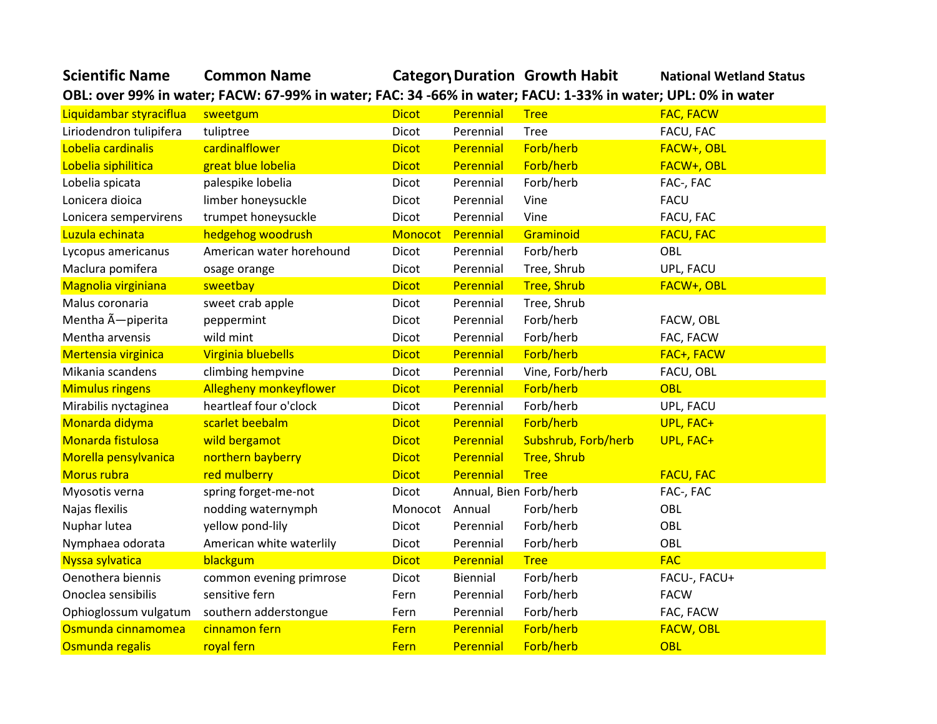| <b>Scientific Name</b>   | <b>Common Name</b>                                                                                           |              |                        | Categor Duration Growth Habit | <b>National Wetland Status</b> |
|--------------------------|--------------------------------------------------------------------------------------------------------------|--------------|------------------------|-------------------------------|--------------------------------|
|                          | OBL: over 99% in water; FACW: 67-99% in water; FAC: 34 -66% in water; FACU: 1-33% in water; UPL: 0% in water |              |                        |                               |                                |
| Liquidambar styraciflua  | sweetgum                                                                                                     | <b>Dicot</b> | Perennial              | <b>Tree</b>                   | <b>FAC, FACW</b>               |
| Liriodendron tulipifera  | tuliptree                                                                                                    | Dicot        | Perennial              | <b>Tree</b>                   | FACU, FAC                      |
| Lobelia cardinalis       | cardinalflower                                                                                               | <b>Dicot</b> | Perennial              | Forb/herb                     | FACW+, OBL                     |
| Lobelia siphilitica      | great blue lobelia                                                                                           | <b>Dicot</b> | Perennial              | Forb/herb                     | FACW+, OBL                     |
| Lobelia spicata          | palespike lobelia                                                                                            | Dicot        | Perennial              | Forb/herb                     | FAC-, FAC                      |
| Lonicera dioica          | limber honeysuckle                                                                                           | Dicot        | Perennial              | Vine                          | <b>FACU</b>                    |
| Lonicera sempervirens    | trumpet honeysuckle                                                                                          | Dicot        | Perennial              | Vine                          | FACU, FAC                      |
| Luzula echinata          | hedgehog woodrush                                                                                            | Monocot      | Perennial              | Graminoid                     | <b>FACU, FAC</b>               |
| Lycopus americanus       | American water horehound                                                                                     | Dicot        | Perennial              | Forb/herb                     | OBL                            |
| Maclura pomifera         | osage orange                                                                                                 | Dicot        | Perennial              | Tree, Shrub                   | UPL, FACU                      |
| Magnolia virginiana      | sweetbay                                                                                                     | <b>Dicot</b> | Perennial              | <b>Tree, Shrub</b>            | FACW+, OBL                     |
| Malus coronaria          | sweet crab apple                                                                                             | Dicot        | Perennial              | Tree, Shrub                   |                                |
| Mentha A-piperita        | peppermint                                                                                                   | Dicot        | Perennial              | Forb/herb                     | FACW, OBL                      |
| Mentha arvensis          | wild mint                                                                                                    | Dicot        | Perennial              | Forb/herb                     | FAC, FACW                      |
| Mertensia virginica      | Virginia bluebells                                                                                           | <b>Dicot</b> | Perennial              | Forb/herb                     | FAC+, FACW                     |
| Mikania scandens         | climbing hempvine                                                                                            | Dicot        | Perennial              | Vine, Forb/herb               | FACU, OBL                      |
| <b>Mimulus ringens</b>   | <b>Allegheny monkeyflower</b>                                                                                | <b>Dicot</b> | Perennial              | Forb/herb                     | <b>OBL</b>                     |
| Mirabilis nyctaginea     | heartleaf four o'clock                                                                                       | Dicot        | Perennial              | Forb/herb                     | UPL, FACU                      |
| Monarda didyma           | scarlet beebalm                                                                                              | <b>Dicot</b> | Perennial              | Forb/herb                     | UPL, FAC+                      |
| <b>Monarda fistulosa</b> | wild bergamot                                                                                                | <b>Dicot</b> | Perennial              | Subshrub, Forb/herb           | UPL, FAC+                      |
| Morella pensylvanica     | northern bayberry                                                                                            | <b>Dicot</b> | Perennial              | <b>Tree, Shrub</b>            |                                |
| Morus rubra              | red mulberry                                                                                                 | <b>Dicot</b> | Perennial              | <b>Tree</b>                   | <b>FACU, FAC</b>               |
| Myosotis verna           | spring forget-me-not                                                                                         | Dicot        | Annual, Bien Forb/herb |                               | FAC-, FAC                      |
| Najas flexilis           | nodding waternymph                                                                                           | Monocot      | Annual                 | Forb/herb                     | OBL                            |
| Nuphar lutea             | yellow pond-lily                                                                                             | Dicot        | Perennial              | Forb/herb                     | OBL                            |
| Nymphaea odorata         | American white waterlily                                                                                     | Dicot        | Perennial              | Forb/herb                     | OBL                            |
| Nyssa sylvatica          | blackgum                                                                                                     | <b>Dicot</b> | Perennial              | <b>Tree</b>                   | <b>FAC</b>                     |
| Oenothera biennis        | common evening primrose                                                                                      | Dicot        | Biennial               | Forb/herb                     | FACU-, FACU+                   |
| Onoclea sensibilis       | sensitive fern                                                                                               | Fern         | Perennial              | Forb/herb                     | <b>FACW</b>                    |
| Ophioglossum vulgatum    | southern adderstongue                                                                                        | Fern         | Perennial              | Forb/herb                     | FAC, FACW                      |
| Osmunda cinnamomea       | cinnamon fern                                                                                                | Fern         | Perennial              | Forb/herb                     | <b>FACW, OBL</b>               |
| Osmunda regalis          | royal fern                                                                                                   | Fern         | Perennial              | Forb/herb                     | OBL                            |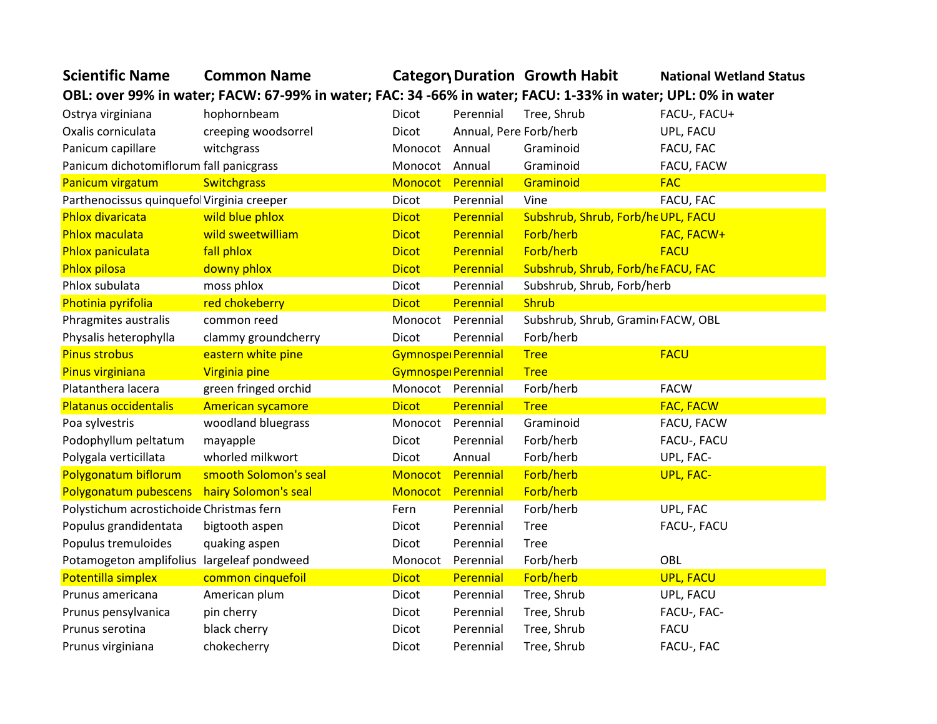| <b>Scientific Name</b>                                                                                      | <b>Common Name</b>       |                |                        | Category Duration Growth Habit     | <b>National Wetland Status</b> |  |  |
|-------------------------------------------------------------------------------------------------------------|--------------------------|----------------|------------------------|------------------------------------|--------------------------------|--|--|
| OBL: over 99% in water; FACW: 67-99% in water; FAC: 34-66% in water; FACU: 1-33% in water; UPL: 0% in water |                          |                |                        |                                    |                                |  |  |
| Ostrya virginiana                                                                                           | hophornbeam              | Dicot          | Perennial              | Tree, Shrub                        | FACU-, FACU+                   |  |  |
| Oxalis corniculata                                                                                          | creeping woodsorrel      | Dicot          | Annual, Pere Forb/herb |                                    | UPL, FACU                      |  |  |
| Panicum capillare                                                                                           | witchgrass               | Monocot        | Annual                 | Graminoid                          | FACU, FAC                      |  |  |
| Panicum dichotomiflorum fall panicgrass                                                                     |                          | Monocot        | Annual                 | Graminoid                          | FACU, FACW                     |  |  |
| Panicum virgatum                                                                                            | <b>Switchgrass</b>       | Monocot        | Perennial              | Graminoid                          | <b>FAC</b>                     |  |  |
| Parthenocissus quinquefol Virginia creeper                                                                  |                          | Dicot          | Perennial              | Vine                               | FACU, FAC                      |  |  |
| <b>Phlox divaricata</b>                                                                                     | wild blue phlox          | <b>Dicot</b>   | Perennial              | Subshrub, Shrub, Forb/he UPL, FACU |                                |  |  |
| <b>Phlox maculata</b>                                                                                       | wild sweetwilliam        | <b>Dicot</b>   | Perennial              | Forb/herb                          | FAC, FACW+                     |  |  |
| Phlox paniculata                                                                                            | fall phlox               | <b>Dicot</b>   | Perennial              | Forb/herb                          | <b>FACU</b>                    |  |  |
| <b>Phlox pilosa</b>                                                                                         | downy phlox              | <b>Dicot</b>   | Perennial              | Subshrub, Shrub, Forb/he FACU, FAC |                                |  |  |
| Phlox subulata                                                                                              | moss phlox               | Dicot          | Perennial              | Subshrub, Shrub, Forb/herb         |                                |  |  |
| Photinia pyrifolia                                                                                          | red chokeberry           | <b>Dicot</b>   | Perennial              | Shrub                              |                                |  |  |
| Phragmites australis                                                                                        | common reed              | Monocot        | Perennial              | Subshrub, Shrub, Gramin FACW, OBL  |                                |  |  |
| Physalis heterophylla                                                                                       | clammy groundcherry      | Dicot          | Perennial              | Forb/herb                          |                                |  |  |
| <b>Pinus strobus</b>                                                                                        | eastern white pine       |                | Gymnospe Perennial     | <b>Tree</b>                        | <b>FACU</b>                    |  |  |
| Pinus virginiana                                                                                            | Virginia pine            |                | Gymnospe Perennial     | <b>Tree</b>                        |                                |  |  |
| Platanthera lacera                                                                                          | green fringed orchid     |                | Monocot Perennial      | Forb/herb                          | <b>FACW</b>                    |  |  |
| Platanus occidentalis                                                                                       | <b>American sycamore</b> | <b>Dicot</b>   | Perennial              | <b>Tree</b>                        | <b>FAC, FACW</b>               |  |  |
| Poa sylvestris                                                                                              | woodland bluegrass       |                | Monocot Perennial      | Graminoid                          | FACU, FACW                     |  |  |
| Podophyllum peltatum                                                                                        | mayapple                 | Dicot          | Perennial              | Forb/herb                          | FACU-, FACU                    |  |  |
| Polygala verticillata                                                                                       | whorled milkwort         | Dicot          | Annual                 | Forb/herb                          | UPL, FAC-                      |  |  |
| Polygonatum biflorum                                                                                        | smooth Solomon's seal    | Monocot        | Perennial              | Forb/herb                          | <b>UPL, FAC-</b>               |  |  |
| Polygonatum pubescens                                                                                       | hairy Solomon's seal     | <b>Monocot</b> | Perennial              | Forb/herb                          |                                |  |  |
| Polystichum acrostichoide Christmas fern                                                                    |                          | Fern           | Perennial              | Forb/herb                          | UPL, FAC                       |  |  |
| Populus grandidentata                                                                                       | bigtooth aspen           | Dicot          | Perennial              | <b>Tree</b>                        | FACU-, FACU                    |  |  |
| Populus tremuloides                                                                                         | quaking aspen            | Dicot          | Perennial              | <b>Tree</b>                        |                                |  |  |
| Potamogeton amplifolius largeleaf pondweed                                                                  |                          | Monocot        | Perennial              | Forb/herb                          | OBL                            |  |  |
| Potentilla simplex                                                                                          | common cinquefoil        | <b>Dicot</b>   | Perennial              | Forb/herb                          | <b>UPL, FACU</b>               |  |  |
| Prunus americana                                                                                            | American plum            | Dicot          | Perennial              | Tree, Shrub                        | UPL, FACU                      |  |  |
| Prunus pensylvanica                                                                                         | pin cherry               | Dicot          | Perennial              | Tree, Shrub                        | FACU-, FAC-                    |  |  |
| Prunus serotina                                                                                             | black cherry             | Dicot          | Perennial              | Tree, Shrub                        | <b>FACU</b>                    |  |  |
| Prunus virginiana                                                                                           | chokecherry              | Dicot          | Perennial              | Tree, Shrub                        | FACU-, FAC                     |  |  |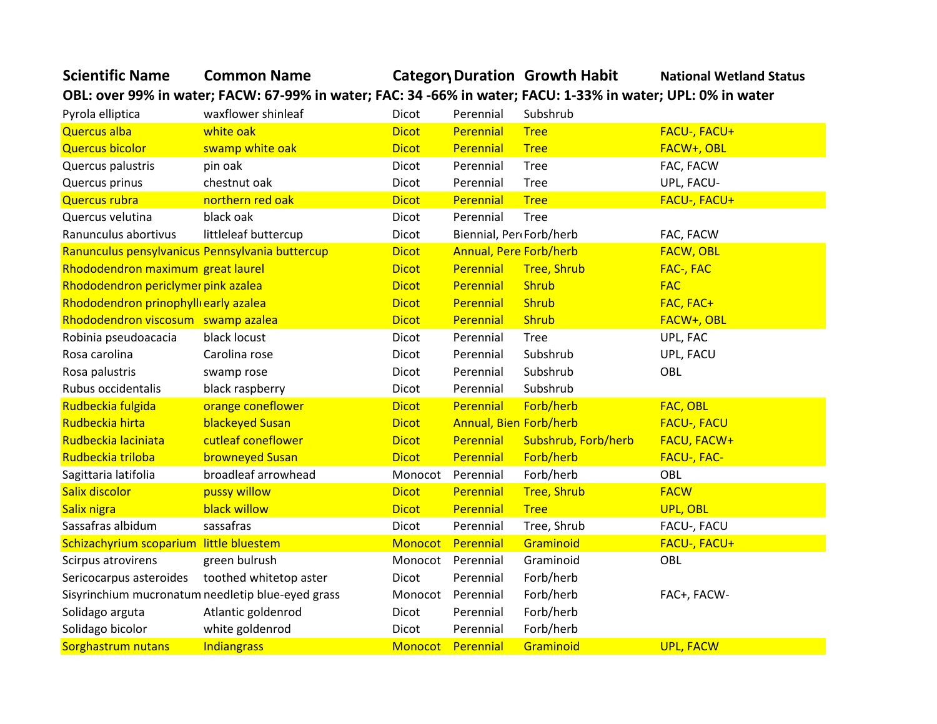| OBL: over 99% in water; FACW: 67-99% in water; FAC: 34-66% in water; FACU: 1-33% in water; UPL: 0% in water |                                                   |              |                               |                     |                    |  |  |
|-------------------------------------------------------------------------------------------------------------|---------------------------------------------------|--------------|-------------------------------|---------------------|--------------------|--|--|
| Pyrola elliptica                                                                                            | waxflower shinleaf                                | Dicot        | Perennial                     | Subshrub            |                    |  |  |
| <b>Quercus alba</b>                                                                                         | white oak                                         | <b>Dicot</b> | Perennial                     | <b>Tree</b>         | FACU-, FACU+       |  |  |
| <b>Quercus bicolor</b>                                                                                      | swamp white oak                                   | <b>Dicot</b> | Perennial                     | <b>Tree</b>         | FACW+, OBL         |  |  |
| Quercus palustris                                                                                           | pin oak                                           | Dicot        | Perennial                     | <b>Tree</b>         | FAC, FACW          |  |  |
| Quercus prinus                                                                                              | chestnut oak                                      | Dicot        | Perennial                     | <b>Tree</b>         | UPL, FACU-         |  |  |
| <b>Quercus rubra</b>                                                                                        | northern red oak                                  | <b>Dicot</b> | Perennial                     | <b>Tree</b>         | FACU-, FACU+       |  |  |
| Quercus velutina                                                                                            | black oak                                         | Dicot        | Perennial                     | <b>Tree</b>         |                    |  |  |
| Ranunculus abortivus                                                                                        | littleleaf buttercup                              | Dicot        | Biennial, Per Forb/herb       |                     | FAC, FACW          |  |  |
| Ranunculus pensylvanicus Pennsylvania buttercup                                                             |                                                   | <b>Dicot</b> | <b>Annual, Pere Forb/herb</b> |                     | <b>FACW, OBL</b>   |  |  |
| Rhododendron maximum great laurel                                                                           |                                                   | <b>Dicot</b> | <b>Perennial</b>              | <b>Tree, Shrub</b>  | FAC-, FAC          |  |  |
| Rhododendron periclymer pink azalea                                                                         |                                                   | <b>Dicot</b> | Perennial                     | <b>Shrub</b>        | <b>FAC</b>         |  |  |
| Rhododendron prinophylli early azalea                                                                       |                                                   | <b>Dicot</b> | Perennial                     | <b>Shrub</b>        | FAC, FAC+          |  |  |
| Rhododendron viscosum swamp azalea                                                                          |                                                   | <b>Dicot</b> | Perennial                     | <b>Shrub</b>        | FACW+, OBL         |  |  |
| Robinia pseudoacacia                                                                                        | black locust                                      | Dicot        | Perennial                     | <b>Tree</b>         | UPL, FAC           |  |  |
| Rosa carolina                                                                                               | Carolina rose                                     | Dicot        | Perennial                     | Subshrub            | UPL, FACU          |  |  |
| Rosa palustris                                                                                              | swamp rose                                        | Dicot        | Perennial                     | Subshrub            | OBL                |  |  |
| Rubus occidentalis                                                                                          | black raspberry                                   | Dicot        | Perennial                     | Subshrub            |                    |  |  |
| Rudbeckia fulgida                                                                                           | orange coneflower                                 | <b>Dicot</b> | Perennial                     | Forb/herb           | FAC, OBL           |  |  |
| Rudbeckia hirta                                                                                             | blackeyed Susan                                   | <b>Dicot</b> | Annual, Bien Forb/herb        |                     | <b>FACU-, FACU</b> |  |  |
| Rudbeckia laciniata                                                                                         | cutleaf coneflower                                | <b>Dicot</b> | Perennial                     | Subshrub, Forb/herb | <b>FACU, FACW+</b> |  |  |
| Rudbeckia triloba                                                                                           | <b>browneyed Susan</b>                            | <b>Dicot</b> | Perennial                     | Forb/herb           | <b>FACU-, FAC-</b> |  |  |
| Sagittaria latifolia                                                                                        | broadleaf arrowhead                               | Monocot      | Perennial                     | Forb/herb           | OBL                |  |  |
| Salix discolor                                                                                              | pussy willow                                      | <b>Dicot</b> | Perennial                     | <b>Tree, Shrub</b>  | <b>FACW</b>        |  |  |
| Salix nigra                                                                                                 | black willow                                      | <b>Dicot</b> | Perennial                     | <b>Tree</b>         | UPL, OBL           |  |  |
| Sassafras albidum                                                                                           | sassafras                                         | Dicot        | Perennial                     | Tree, Shrub         | FACU-, FACU        |  |  |
| Schizachyrium scoparium little bluestem                                                                     |                                                   | Monocot      | Perennial                     | Graminoid           | FACU-, FACU+       |  |  |
| Scirpus atrovirens                                                                                          | green bulrush                                     | Monocot      | Perennial                     | Graminoid           | OBL                |  |  |
| Sericocarpus asteroides                                                                                     | toothed whitetop aster                            | <b>Dicot</b> | Perennial                     | Forb/herb           |                    |  |  |
|                                                                                                             | Sisyrinchium mucronatum needletip blue-eyed grass | Monocot      | Perennial                     | Forb/herb           | FAC+, FACW-        |  |  |
| Solidago arguta                                                                                             | Atlantic goldenrod                                | <b>Dicot</b> | Perennial                     | Forb/herb           |                    |  |  |
| Solidago bicolor                                                                                            | white goldenrod                                   | Dicot        | Perennial                     | Forb/herb           |                    |  |  |
| Sorghastrum nutans                                                                                          | Indiangrass                                       |              | Monocot Perennial             | Graminoid           | <b>UPL, FACW</b>   |  |  |

**Scientific Name Common Name CategoryDuration Growth Habit National Wetland Status**